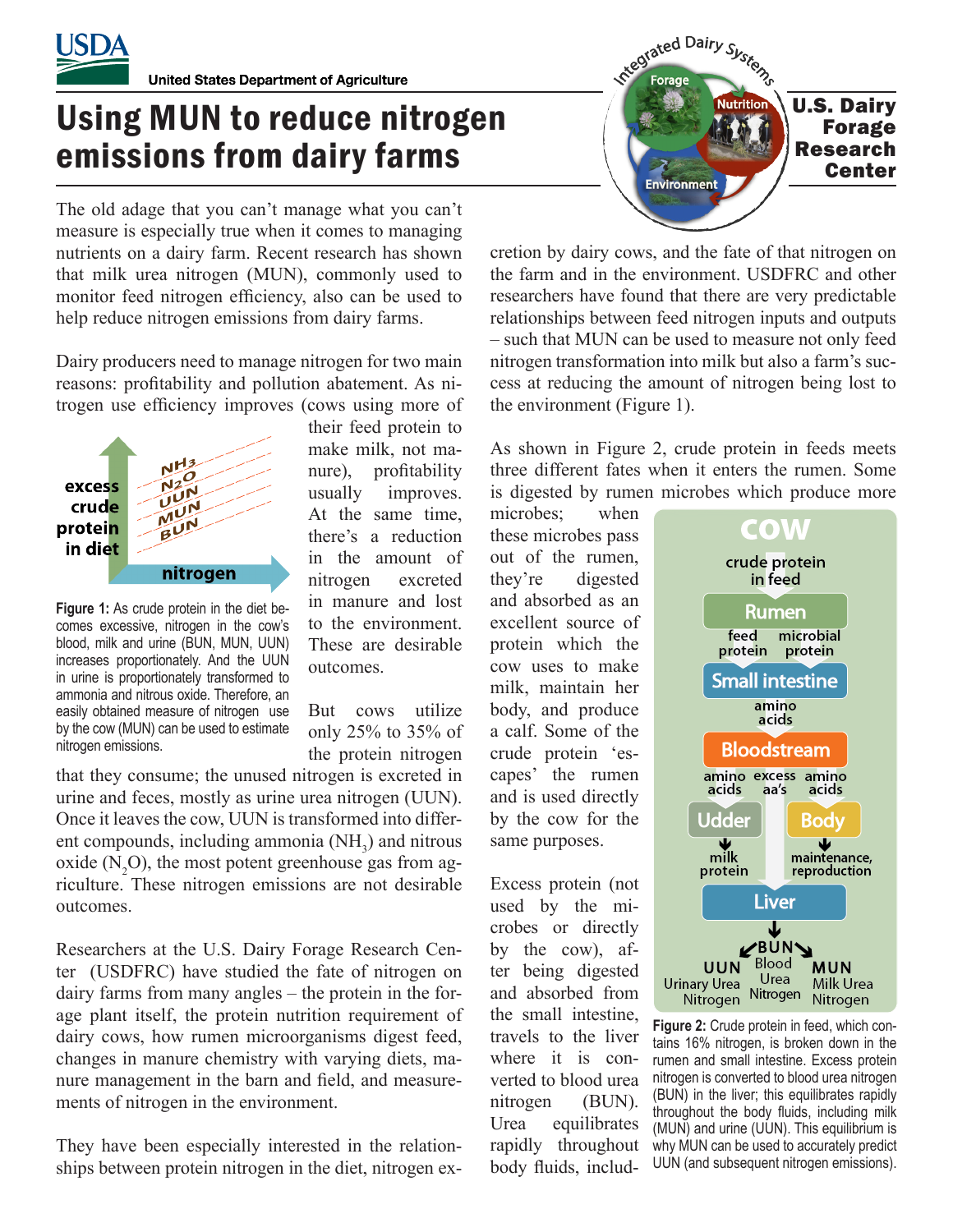

**United States Department of Agriculture** 

## Using MUN to reduce nitrogen emissions from dairy farms

The old adage that you can't manage what you can't measure is especially true when it comes to managing nutrients on a dairy farm. Recent research has shown that milk urea nitrogen (MUN), commonly used to monitor feed nitrogen efficiency, also can be used to help reduce nitrogen emissions from dairy farms.

Dairy producers need to manage nitrogen for two main reasons: profitability and pollution abatement. As nitrogen use efficiency improves (cows using more of



**Figure 1:** As crude protein in the diet becomes excessive, nitrogen in the cow's blood, milk and urine (BUN, MUN, UUN) increases proportionately. And the UUN in urine is proportionately transformed to ammonia and nitrous oxide. Therefore, an easily obtained measure of nitrogen use by the cow (MUN) can be used to estimate nitrogen emissions.

their feed protein to make milk, not manure), profitability usually improves. At the same time, there's a reduction in the amount of nitrogen excreted in manure and lost to the environment. These are desirable outcomes.

But cows utilize only 25% to 35% of the protein nitrogen

that they consume; the unused nitrogen is excreted in urine and feces, mostly as urine urea nitrogen (UUN). Once it leaves the cow, UUN is transformed into different compounds, including ammonia  $(NH_3)$  and nitrous oxide  $(N_2O)$ , the most potent greenhouse gas from agriculture. These nitrogen emissions are not desirable outcomes.

Researchers at the U.S. Dairy Forage Research Center (USDFRC) have studied the fate of nitrogen on dairy farms from many angles – the protein in the forage plant itself, the protein nutrition requirement of dairy cows, how rumen microorganisms digest feed, changes in manure chemistry with varying diets, manure management in the barn and field, and measurements of nitrogen in the environment.

They have been especially interested in the relationships between protein nitrogen in the diet, nitrogen ex-



cretion by dairy cows, and the fate of that nitrogen on the farm and in the environment. USDFRC and other researchers have found that there are very predictable relationships between feed nitrogen inputs and outputs – such that MUN can be used to measure not only feed nitrogen transformation into milk but also a farm's success at reducing the amount of nitrogen being lost to the environment (Figure 1).

As shown in Figure 2, crude protein in feeds meets three different fates when it enters the rumen. Some is digested by rumen microbes which produce more

microbes; when these microbes pass out of the rumen, they're digested and absorbed as an excellent source of protein which the cow uses to make milk, maintain her body, and produce a calf. Some of the crude protein 'escapes' the rumen and is used directly by the cow for the same purposes.

Excess protein (not used by the microbes or directly by the cow), after being digested and absorbed from the small intestine, travels to the liver where it is converted to blood urea nitrogen (BUN). Urea equilibrates rapidly throughout body fluids, includ-



**Figure 2:** Crude protein in feed, which contains 16% nitrogen, is broken down in the rumen and small intestine. Excess protein nitrogen is converted to blood urea nitrogen (BUN) in the liver; this equilibrates rapidly throughout the body fluids, including milk (MUN) and urine (UUN). This equilibrium is why MUN can be used to accurately predict UUN (and subsequent nitrogen emissions).